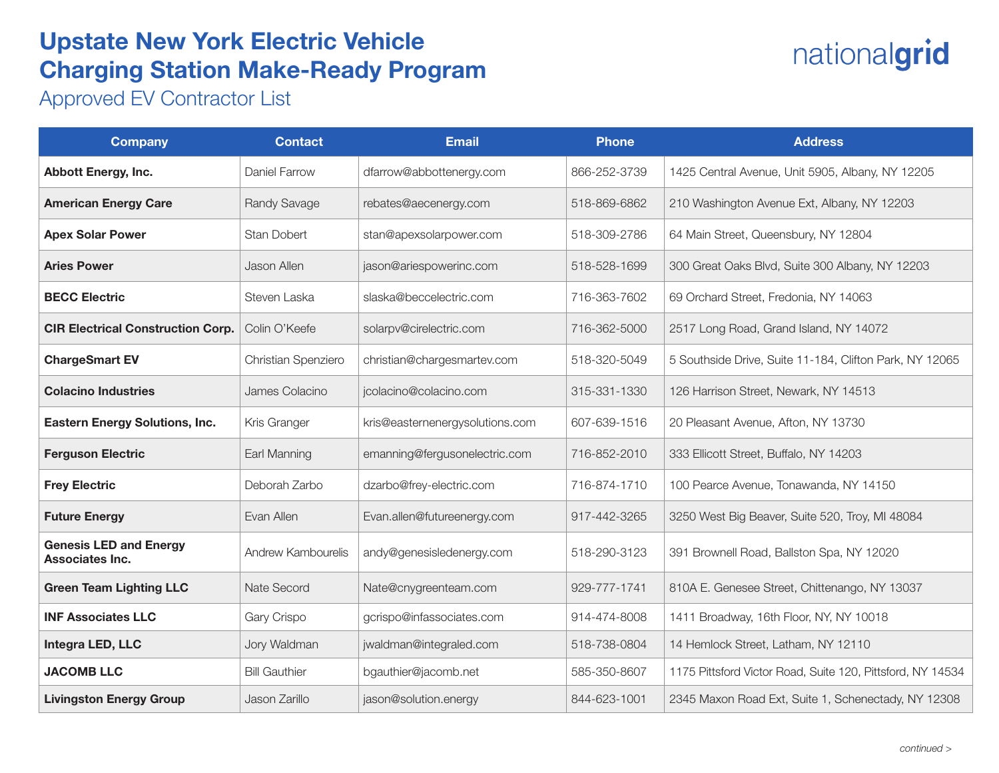## Upstate New York Electric Vehicle Charging Station Make-Ready Program

## nationalgrid

Approved EV Contractor List

| <b>Company</b>                                   | <b>Contact</b>       | <b>Email</b>                    | <b>Phone</b> | <b>Address</b>                                             |
|--------------------------------------------------|----------------------|---------------------------------|--------------|------------------------------------------------------------|
| <b>Abbott Energy, Inc.</b>                       | Daniel Farrow        | dfarrow@abbottenergy.com        | 866-252-3739 | 1425 Central Avenue, Unit 5905, Albany, NY 12205           |
| <b>American Energy Care</b>                      | Randy Savage         | rebates@aecenergy.com           | 518-869-6862 | 210 Washington Avenue Ext, Albany, NY 12203                |
| <b>Apex Solar Power</b>                          | <b>Stan Dobert</b>   | stan@apexsolarpower.com         | 518-309-2786 | 64 Main Street, Queensbury, NY 12804                       |
| <b>Aries Power</b>                               | Jason Allen          | jason@ariespowerinc.com         | 518-528-1699 | 300 Great Oaks Blvd, Suite 300 Albany, NY 12203            |
| <b>BECC Electric</b>                             | Steven Laska         | slaska@beccelectric.com         | 716-363-7602 | 69 Orchard Street, Fredonia, NY 14063                      |
| <b>CIR Electrical Construction Corp.</b>         | Colin O'Keefe        | solarpv@cirelectric.com         | 716-362-5000 | 2517 Long Road, Grand Island, NY 14072                     |
| <b>ChargeSmart EV</b>                            | Christian Spenziero  | christian@chargesmartev.com     | 518-320-5049 | 5 Southside Drive, Suite 11-184, Clifton Park, NY 12065    |
| <b>Colacino Industries</b>                       | James Colacino       | jcolacino@colacino.com          | 315-331-1330 | 126 Harrison Street, Newark, NY 14513                      |
| <b>Eastern Energy Solutions, Inc.</b>            | Kris Granger         | kris@easternenergysolutions.com | 607-639-1516 | 20 Pleasant Avenue, Afton, NY 13730                        |
| <b>Ferguson Electric</b>                         | Earl Manning         | emanning@fergusonelectric.com   | 716-852-2010 | 333 Ellicott Street, Buffalo, NY 14203                     |
| <b>Frey Electric</b>                             | Deborah Zarbo        | dzarbo@frey-electric.com        | 716-874-1710 | 100 Pearce Avenue, Tonawanda, NY 14150                     |
| <b>Future Energy</b>                             | Evan Allen           | Evan.allen@futureenergy.com     | 917-442-3265 | 3250 West Big Beaver, Suite 520, Troy, MI 48084            |
| <b>Genesis LED and Energy</b><br>Associates Inc. | Andrew Kambourelis   | andy@genesisledenergy.com       | 518-290-3123 | 391 Brownell Road, Ballston Spa, NY 12020                  |
| <b>Green Team Lighting LLC</b>                   | Nate Secord          | Nate@cnygreenteam.com           | 929-777-1741 | 810A E. Genesee Street, Chittenango, NY 13037              |
| <b>INF Associates LLC</b>                        | Gary Crispo          | gcrispo@infassociates.com       | 914-474-8008 | 1411 Broadway, 16th Floor, NY, NY 10018                    |
| Integra LED, LLC                                 | Jory Waldman         | jwaldman@integraled.com         | 518-738-0804 | 14 Hemlock Street, Latham, NY 12110                        |
| <b>JACOMB LLC</b>                                | <b>Bill Gauthier</b> | bgauthier@jacomb.net            | 585-350-8607 | 1175 Pittsford Victor Road, Suite 120, Pittsford, NY 14534 |
| <b>Livingston Energy Group</b>                   | Jason Zarillo        | jason@solution.energy           | 844-623-1001 | 2345 Maxon Road Ext, Suite 1, Schenectady, NY 12308        |